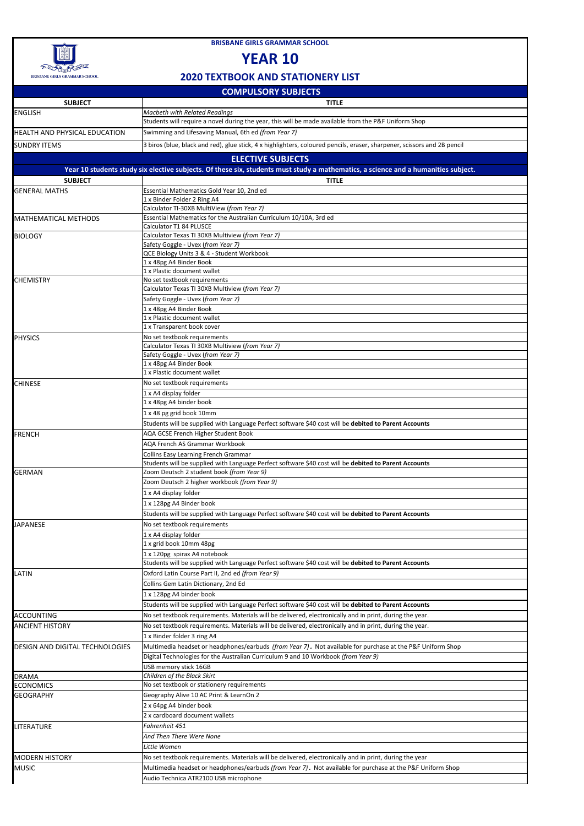|                                        | COIVIF OLJON I JODJLCIJ                                                                                                                              |
|----------------------------------------|------------------------------------------------------------------------------------------------------------------------------------------------------|
| <b>SUBJECT</b>                         | <b>TITLE</b>                                                                                                                                         |
| <b>ENGLISH</b>                         | <b>Macbeth with Related Readings</b>                                                                                                                 |
|                                        | Students will require a novel during the year, this will be made available from the P&F Uniform Shop                                                 |
| <b>HEALTH AND PHYSICAL EDUCATION</b>   | Swimming and Lifesaving Manual, 6th ed (from Year 7)                                                                                                 |
| <b>SUNDRY ITEMS</b>                    | 3 biros (blue, black and red), glue stick, 4 x highlighters, coloured pencils, eraser, sharpener, scissors and 2B pencil                             |
|                                        | <b>ELECTIVE SUBJECTS</b>                                                                                                                             |
|                                        |                                                                                                                                                      |
|                                        | Year 10 students study six elective subjects. Of these six, students must study a mathematics, a science and a humanities subject.                   |
| <b>SUBJECT</b>                         | <b>TITLE</b>                                                                                                                                         |
| <b>GENERAL MATHS</b>                   | Essential Mathematics Gold Year 10, 2nd ed                                                                                                           |
|                                        | 1 x Binder Folder 2 Ring A4                                                                                                                          |
|                                        | Calculator TI-30XB MultiView (from Year 7)                                                                                                           |
| <b>MATHEMATICAL METHODS</b>            | Essential Mathematics for the Australian Curriculum 10/10A, 3rd ed                                                                                   |
|                                        | Calculator T1 84 PLUSCE                                                                                                                              |
| <b>BIOLOGY</b>                         | Calculator Texas TI 30XB Multiview (from Year 7)<br>Safety Goggle - Uvex (from Year 7)                                                               |
|                                        | QCE Biology Units 3 & 4 - Student Workbook                                                                                                           |
|                                        | 1 x 48pg A4 Binder Book                                                                                                                              |
|                                        | 1 x Plastic document wallet                                                                                                                          |
| <b>CHEMISTRY</b>                       | No set textbook requirements                                                                                                                         |
|                                        | Calculator Texas TI 30XB Multiview (from Year 7)                                                                                                     |
|                                        | Safety Goggle - Uvex (from Year 7)                                                                                                                   |
|                                        | 1 x 48pg A4 Binder Book                                                                                                                              |
|                                        | 1 x Plastic document wallet                                                                                                                          |
|                                        | 1 x Transparent book cover                                                                                                                           |
| <b>PHYSICS</b>                         | No set textbook requirements                                                                                                                         |
|                                        | Calculator Texas TI 30XB Multiview (from Year 7)                                                                                                     |
|                                        | Safety Goggle - Uvex (from Year 7)                                                                                                                   |
|                                        | 1 x 48pg A4 Binder Book                                                                                                                              |
|                                        | 1 x Plastic document wallet                                                                                                                          |
| <b>CHINESE</b>                         | No set textbook requirements                                                                                                                         |
|                                        | 1 x A4 display folder                                                                                                                                |
|                                        | 1 x 48pg A4 binder book                                                                                                                              |
|                                        | 1 x 48 pg grid book 10mm                                                                                                                             |
|                                        | Students will be supplied with Language Perfect software \$40 cost will be debited to Parent Accounts                                                |
|                                        | AQA GCSE French Higher Student Book                                                                                                                  |
| FRENCH                                 | <b>AQA French AS Grammar Workbook</b>                                                                                                                |
|                                        |                                                                                                                                                      |
|                                        | <b>Collins Easy Learning French Grammar</b><br>Students will be supplied with Language Perfect software \$40 cost will be debited to Parent Accounts |
| <b>GERMAN</b>                          | Zoom Deutsch 2 student book (from Year 9)                                                                                                            |
|                                        |                                                                                                                                                      |
|                                        | Zoom Deutsch 2 higher workbook (from Year 9)                                                                                                         |
|                                        | 1 x A4 display folder                                                                                                                                |
|                                        | 1 x 128pg A4 Binder book                                                                                                                             |
|                                        | Students will be supplied with Language Perfect software \$40 cost will be debited to Parent Accounts                                                |
| <b>JAPANESE</b>                        | No set textbook requirements                                                                                                                         |
|                                        | 1 x A4 display folder                                                                                                                                |
|                                        | 1 x grid book 10mm 48pg                                                                                                                              |
|                                        | 1 x 120pg spirax A4 notebook                                                                                                                         |
|                                        | Students will be supplied with Language Perfect software \$40 cost will be debited to Parent Accounts                                                |
| <b>LATIN</b>                           | Oxford Latin Course Part II, 2nd ed (from Year 9)                                                                                                    |
|                                        | Collins Gem Latin Dictionary, 2nd Ed                                                                                                                 |
|                                        | 1 x 128pg A4 binder book                                                                                                                             |
|                                        | Students will be supplied with Language Perfect software \$40 cost will be debited to Parent Accounts                                                |
| <b>ACCOUNTING</b>                      | No set textbook requirements. Materials will be delivered, electronically and in print, during the year.                                             |
|                                        |                                                                                                                                                      |
| <b>ANCIENT HISTORY</b>                 | No set textbook requirements. Materials will be delivered, electronically and in print, during the year.                                             |
|                                        | 1 x Binder folder 3 ring A4                                                                                                                          |
| <b>DESIGN AND DIGITAL TECHNOLOGIES</b> | Multimedia headset or headphones/earbuds (from Year 7). Not available for purchase at the P&F Uniform Shop                                           |
|                                        | Digital Technologies for the Australian Curriculum 9 and 10 Workbook (from Year 9)                                                                   |
|                                        | USB memory stick 16GB                                                                                                                                |
| <b>DRAMA</b>                           | Children of the Black Skirt                                                                                                                          |
| <b>ECONOMICS</b>                       | No set textbook or stationery requirements                                                                                                           |
| <b>GEOGRAPHY</b>                       | Geography Alive 10 AC Print & LearnOn 2                                                                                                              |
|                                        | 2 x 64pg A4 binder book                                                                                                                              |
|                                        | 2 x cardboard document wallets                                                                                                                       |
| <b>LITERATURE</b>                      | Fahrenheit 451                                                                                                                                       |
|                                        | And Then There Were None                                                                                                                             |
|                                        | Little Women                                                                                                                                         |
|                                        |                                                                                                                                                      |
| <b>MODERN HISTORY</b>                  | No set textbook requirements. Materials will be delivered, electronically and in print, during the year                                              |
| <b>MUSIC</b>                           | Multimedia headset or headphones/earbuds (from Year 7). Not available for purchase at the P&F Uniform Shop                                           |
|                                        | Audio Technica ATR2100 USB microphone                                                                                                                |



**BRISBANE GIRLS GRAMMAR SCHOOL**

## **YEAR 10**

## **2020 TEXTBOOK AND STATIONERY LIST**

## **COMPULSORY SUBJECTS**